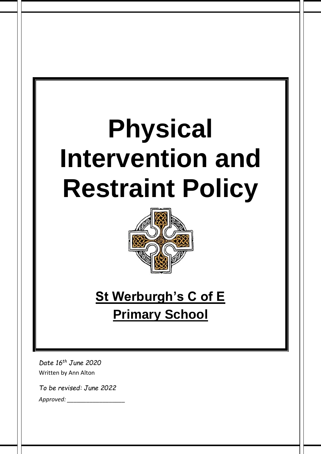# **Physical Intervention and Restraint Policy**



# **St Werburgh's C of E Primary School**

*Date 16th June 2020* Written by Ann Alton

*To be revised: June 2022*

*Approved: \_\_\_\_\_\_\_\_\_\_\_\_\_\_\_\_\_\_*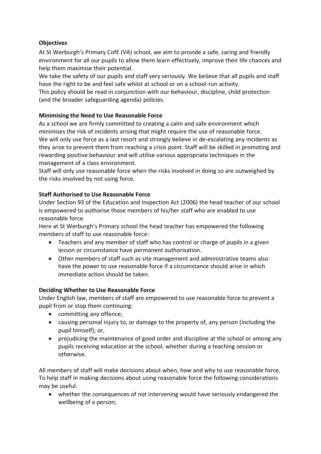# **Objectives**

At St Werburgh's Primary CofE (VA) school, we aim to provide a safe, caring and friendly environment for all our pupils to allow them learn effectively, improve their life chances and help them maximise their potential.

We take the safety of our pupils and staff very seriously. We believe that all pupils and staff have the right to be and feel safe whilst at school or on a school-run activity. This policy should be read in conjunction with our behaviour, discipline, child protection (and the broader safeguarding agenda) policies.

# **Minimising the Need to Use Reasonable Force**

As a school we are firmly committed to creating a calm and safe environment which minimises the risk of incidents arising that might require the use of reasonable force. We will only use force as a last resort and strongly believe in de-escalating any incidents as they arise to prevent them from reaching a crisis point. Staff will be skilled in promoting and rewarding positive behaviour and will utilise various appropriate techniques in the management of a class environment.

Staff will only use reasonable force when the risks involved in doing so are outweighed by the risks involved by not using force.

### **Staff Authorised to Use Reasonable Force**

Under Section 93 of the Education and Inspection Act (2006) the head teacher of our school is empowered to authorise those members of his/her staff who are enabled to use reasonable force.

Here at St Werburgh's Primary school the head teacher has empowered the following members of staff to use reasonable force:

- Teachers and any member of staff who has control or charge of pupils in a given lesson or circumstance have permanent authorisation.
- Other members of staff such as site management and administrative teams also have the power to use reasonable force if a circumstance should arise in which immediate action should be taken.

### **Deciding Whether to Use Reasonable Force**

Under English law, members of staff are empowered to use reasonable force to prevent a pupil from or stop them continuing:

- committing any offence;
- causing personal injury to, or damage to the property of, any person (including the pupil himself); or,
- prejudicing the maintenance of good order and discipline at the school or among any pupils receiving education at the school, whether during a teaching session or otherwise.

All members of staff will make decisions about when, how and why to use reasonable force. To help staff in making decisions about using reasonable force the following considerations may be useful:

• whether the consequences of not intervening would have seriously endangered the wellbeing of a person;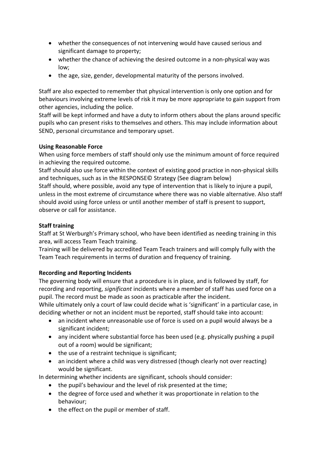- whether the consequences of not intervening would have caused serious and significant damage to property;
- whether the chance of achieving the desired outcome in a non-physical way was low;
- the age, size, gender, developmental maturity of the persons involved.

Staff are also expected to remember that physical intervention is only one option and for behaviours involving extreme levels of risk it may be more appropriate to gain support from other agencies, including the police.

Staff will be kept informed and have a duty to inform others about the plans around specific pupils who can present risks to themselves and others. This may include information about SEND, personal circumstance and temporary upset.

#### **Using Reasonable Force**

When using force members of staff should only use the minimum amount of force required in achieving the required outcome.

Staff should also use force within the context of existing good practice in non-physical skills and techniques, such as in the RESPONSE© Strategy (See diagram below)

Staff should, where possible, avoid any type of intervention that is likely to injure a pupil, unless in the most extreme of circumstance where there was no viable alternative. Also staff should avoid using force unless or until another member of staff is present to support, observe or call for assistance.

#### **Staff training**

Staff at St Werburgh's Primary school, who have been identified as needing training in this area, will access Team Teach training.

Training will be delivered by accredited Team Teach trainers and will comply fully with the Team Teach requirements in terms of duration and frequency of training.

### **Recording and Reporting Incidents**

The governing body will ensure that a procedure is in place, and is followed by staff, for recording and reporting, *significant* incidents where a member of staff has used force on a pupil. The record must be made as soon as practicable after the incident.

While ultimately only a court of law could decide what is 'significant' in a particular case, in deciding whether or not an incident must be reported, staff should take into account:

- an incident where unreasonable use of force is used on a pupil would always be a significant incident;
- any incident where substantial force has been used (e.g. physically pushing a pupil out of a room) would be significant;
- the use of a restraint technique is significant;
- an incident where a child was very distressed (though clearly not over reacting) would be significant.

In determining whether incidents are significant, schools should consider:

- the pupil's behaviour and the level of risk presented at the time;
- the degree of force used and whether it was proportionate in relation to the behaviour;
- the effect on the pupil or member of staff.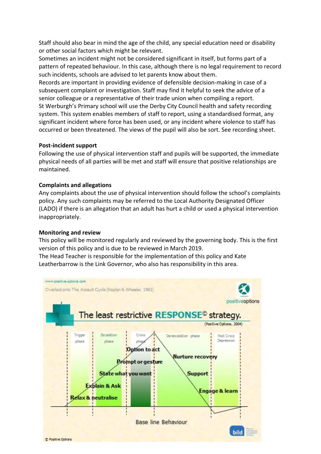Staff should also bear in mind the age of the child, any special education need or disability or other social factors which might be relevant.

Sometimes an incident might not be considered significant in itself, but forms part of a pattern of repeated behaviour. In this case, although there is no legal requirement to record such incidents, schools are advised to let parents know about them.

Records are important in providing evidence of defensible decision-making in case of a subsequent complaint or investigation. Staff may find it helpful to seek the advice of a senior colleague or a representative of their trade union when compiling a report. St Werburgh's Primary school will use the Derby City Council health and safety recording system. This system enables members of staff to report, using a standardised format, any significant incident where force has been used, or any incident where violence to staff has occurred or been threatened. The views of the pupil will also be sort. See recording sheet.

#### **Post-incident support**

Following the use of physical intervention staff and pupils will be supported, the immediate physical needs of all parties will be met and staff will ensure that positive relationships are maintained.

#### **Complaints and allegations**

Any complaints about the use of physical intervention should follow the school's complaints policy. Any such complaints may be referred to the Local Authority Designated Officer (LADO) if there is an allegation that an adult has hurt a child or used a physical intervention inappropriately.

#### **Monitoring and review**

This policy will be monitored regularly and reviewed by the governing body. This is the first version of this policy and is due to be reviewed in March 2019.

The Head Teacher is responsible for the implementation of this policy and Kate Leatherbarrow is the Link Governor, who also has responsibility in this area.